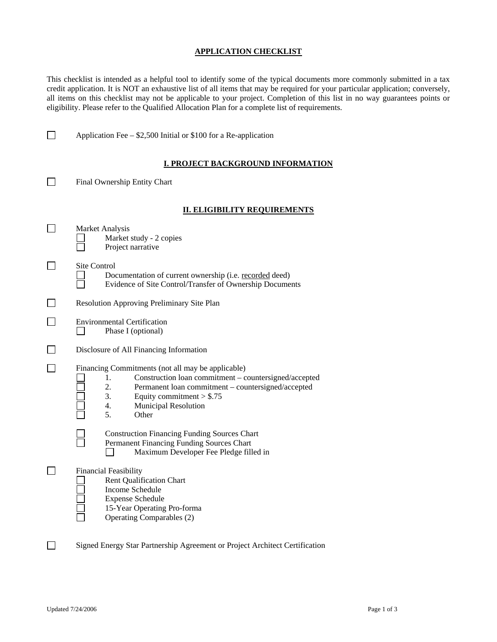## **APPLICATION CHECKLIST**

This checklist is intended as a helpful tool to identify some of the typical documents more commonly submitted in a tax credit application. It is NOT an exhaustive list of all items that may be required for your particular application; conversely, all items on this checklist may not be applicable to your project. Completion of this list in no way guarantees points or eligibility. Please refer to the Qualified Allocation Plan for a complete list of requirements.

| <b>I. PROJECT BACKGROUND INFORMATION</b>                                                                                                                                                                                                                      |  |
|---------------------------------------------------------------------------------------------------------------------------------------------------------------------------------------------------------------------------------------------------------------|--|
| Final Ownership Entity Chart                                                                                                                                                                                                                                  |  |
| <b>II. ELIGIBILITY REQUIREMENTS</b>                                                                                                                                                                                                                           |  |
| Market Analysis<br>Market study - 2 copies<br>Project narrative                                                                                                                                                                                               |  |
| <b>Site Control</b><br>Documentation of current ownership (i.e. recorded deed)<br>Evidence of Site Control/Transfer of Ownership Documents                                                                                                                    |  |
| Resolution Approving Preliminary Site Plan                                                                                                                                                                                                                    |  |
| <b>Environmental Certification</b><br>Phase I (optional)                                                                                                                                                                                                      |  |
| Disclosure of All Financing Information                                                                                                                                                                                                                       |  |
| Financing Commitments (not all may be applicable)<br>1.<br>Construction loan commitment - countersigned/accepted<br>2.<br>Permanent loan commitment - countersigned/accepted<br>3.<br>Equity commitment $> $.75$<br>4.<br>Municipal Resolution<br>5.<br>Other |  |
| <b>Construction Financing Funding Sources Chart</b><br>Permanent Financing Funding Sources Chart<br>Maximum Developer Fee Pledge filled in                                                                                                                    |  |
| <b>Financial Feasibility</b><br><b>Rent Qualification Chart</b><br>Income Schedule<br><b>Expense Schedule</b><br>15-Year Operating Pro-forma<br>Operating Comparables (2)                                                                                     |  |
| Signed Energy Star Partnership Agreement or Project Architect Certification                                                                                                                                                                                   |  |

Application Fee –  $$2,500$  Initial or \$100 for a Re-application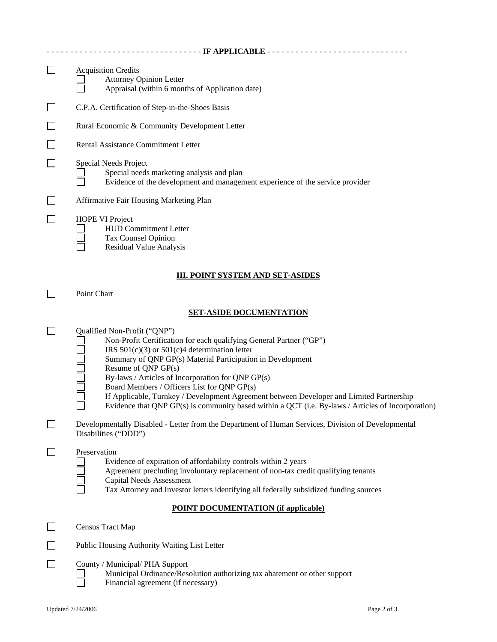| --------------------------------- IF APPLICABLE ------------------------------- |                                                                                                                                                                                                                                                                                                                                                                                                                                                                                                                                                     |  |  |  |
|---------------------------------------------------------------------------------|-----------------------------------------------------------------------------------------------------------------------------------------------------------------------------------------------------------------------------------------------------------------------------------------------------------------------------------------------------------------------------------------------------------------------------------------------------------------------------------------------------------------------------------------------------|--|--|--|
| $\mathsf{L}$                                                                    | <b>Acquisition Credits</b><br><b>Attorney Opinion Letter</b><br>Appraisal (within 6 months of Application date)                                                                                                                                                                                                                                                                                                                                                                                                                                     |  |  |  |
|                                                                                 | C.P.A. Certification of Step-in-the-Shoes Basis                                                                                                                                                                                                                                                                                                                                                                                                                                                                                                     |  |  |  |
|                                                                                 | Rural Economic & Community Development Letter                                                                                                                                                                                                                                                                                                                                                                                                                                                                                                       |  |  |  |
|                                                                                 | Rental Assistance Commitment Letter                                                                                                                                                                                                                                                                                                                                                                                                                                                                                                                 |  |  |  |
|                                                                                 | Special Needs Project<br>Special needs marketing analysis and plan<br>Evidence of the development and management experience of the service provider                                                                                                                                                                                                                                                                                                                                                                                                 |  |  |  |
|                                                                                 | Affirmative Fair Housing Marketing Plan                                                                                                                                                                                                                                                                                                                                                                                                                                                                                                             |  |  |  |
|                                                                                 | <b>HOPE VI Project</b><br><b>HUD Commitment Letter</b><br>Tax Counsel Opinion<br><b>Residual Value Analysis</b>                                                                                                                                                                                                                                                                                                                                                                                                                                     |  |  |  |
| <b>III. POINT SYSTEM AND SET-ASIDES</b>                                         |                                                                                                                                                                                                                                                                                                                                                                                                                                                                                                                                                     |  |  |  |
|                                                                                 | Point Chart                                                                                                                                                                                                                                                                                                                                                                                                                                                                                                                                         |  |  |  |
|                                                                                 | <b>SET-ASIDE DOCUMENTATION</b>                                                                                                                                                                                                                                                                                                                                                                                                                                                                                                                      |  |  |  |
|                                                                                 | Qualified Non-Profit ("QNP")<br>Non-Profit Certification for each qualifying General Partner ("GP")<br>IRS $501(c)(3)$ or $501(c)4$ determination letter<br>Summary of QNP GP(s) Material Participation in Development<br>Resume of QNP GP(s)<br>By-laws / Articles of Incorporation for QNP GP(s)<br>Board Members / Officers List for QNP GP(s)<br>If Applicable, Turnkey / Development Agreement between Developer and Limited Partnership<br>Evidence that QNP GP(s) is community based within a QCT (i.e. By-laws / Articles of Incorporation) |  |  |  |
|                                                                                 | Developmentally Disabled - Letter from the Department of Human Services, Division of Developmental<br>Disabilities ("DDD")                                                                                                                                                                                                                                                                                                                                                                                                                          |  |  |  |
|                                                                                 | Preservation<br>Evidence of expiration of affordability controls within 2 years<br>Agreement precluding involuntary replacement of non-tax credit qualifying tenants<br><b>Capital Needs Assessment</b><br>Tax Attorney and Investor letters identifying all federally subsidized funding sources                                                                                                                                                                                                                                                   |  |  |  |
| <b>POINT DOCUMENTATION (if applicable)</b>                                      |                                                                                                                                                                                                                                                                                                                                                                                                                                                                                                                                                     |  |  |  |
|                                                                                 | Census Tract Map                                                                                                                                                                                                                                                                                                                                                                                                                                                                                                                                    |  |  |  |
|                                                                                 | Public Housing Authority Waiting List Letter                                                                                                                                                                                                                                                                                                                                                                                                                                                                                                        |  |  |  |
|                                                                                 | County / Municipal/ PHA Support<br>Municipal Ordinance/Resolution authorizing tax abatement or other support<br>Financial agreement (if necessary)                                                                                                                                                                                                                                                                                                                                                                                                  |  |  |  |